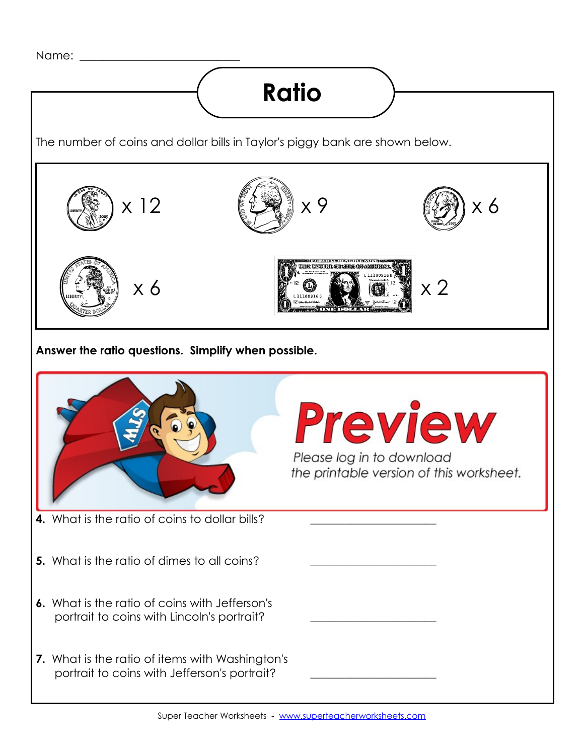

## **Ratio**

The number of coins and dollar bills in Taylor's piggy bank are shown below.



**Answer the ratio questions. Simplify when possible.**

|                                                                                                 | <b>Preview</b><br>Please log in to download<br>the printable version of this worksheet. |
|-------------------------------------------------------------------------------------------------|-----------------------------------------------------------------------------------------|
| 4. What is the ratio of coins to dollar bills?                                                  |                                                                                         |
| 5. What is the ratio of dimes to all coins?                                                     |                                                                                         |
| 6. What is the ratio of coins with Jefferson's<br>portrait to coins with Lincoln's portrait?    |                                                                                         |
| 7. What is the ratio of items with Washington's<br>portrait to coins with Jefferson's portrait? |                                                                                         |